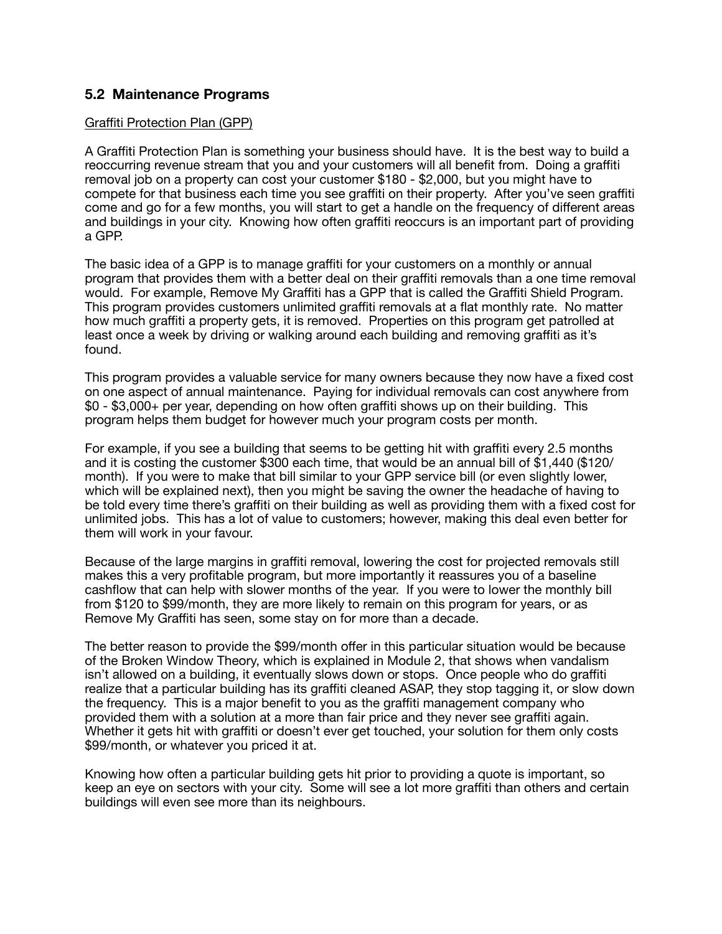# **5.2 Maintenance Programs**

## Graffiti Protection Plan (GPP)

A Graffiti Protection Plan is something your business should have. It is the best way to build a reoccurring revenue stream that you and your customers will all benefit from. Doing a graffiti removal job on a property can cost your customer \$180 - \$2,000, but you might have to compete for that business each time you see graffiti on their property. After you've seen graffiti come and go for a few months, you will start to get a handle on the frequency of different areas and buildings in your city. Knowing how often graffiti reoccurs is an important part of providing a GPP.

The basic idea of a GPP is to manage graffiti for your customers on a monthly or annual program that provides them with a better deal on their graffiti removals than a one time removal would. For example, Remove My Graffiti has a GPP that is called the Graffiti Shield Program. This program provides customers unlimited graffiti removals at a flat monthly rate. No matter how much graffiti a property gets, it is removed. Properties on this program get patrolled at least once a week by driving or walking around each building and removing graffiti as it's found.

This program provides a valuable service for many owners because they now have a fixed cost on one aspect of annual maintenance. Paying for individual removals can cost anywhere from \$0 - \$3,000+ per year, depending on how often graffiti shows up on their building. This program helps them budget for however much your program costs per month.

For example, if you see a building that seems to be getting hit with graffiti every 2.5 months and it is costing the customer \$300 each time, that would be an annual bill of \$1,440 (\$120/ month). If you were to make that bill similar to your GPP service bill (or even slightly lower, which will be explained next), then you might be saving the owner the headache of having to be told every time there's graffiti on their building as well as providing them with a fixed cost for unlimited jobs. This has a lot of value to customers; however, making this deal even better for them will work in your favour.

Because of the large margins in graffiti removal, lowering the cost for projected removals still makes this a very profitable program, but more importantly it reassures you of a baseline cashflow that can help with slower months of the year. If you were to lower the monthly bill from \$120 to \$99/month, they are more likely to remain on this program for years, or as Remove My Graffiti has seen, some stay on for more than a decade.

The better reason to provide the \$99/month offer in this particular situation would be because of the Broken Window Theory, which is explained in Module 2, that shows when vandalism isn't allowed on a building, it eventually slows down or stops. Once people who do graffiti realize that a particular building has its graffiti cleaned ASAP, they stop tagging it, or slow down the frequency. This is a major benefit to you as the graffiti management company who provided them with a solution at a more than fair price and they never see graffiti again. Whether it gets hit with graffiti or doesn't ever get touched, your solution for them only costs \$99/month, or whatever you priced it at.

Knowing how often a particular building gets hit prior to providing a quote is important, so keep an eye on sectors with your city. Some will see a lot more graffiti than others and certain buildings will even see more than its neighbours.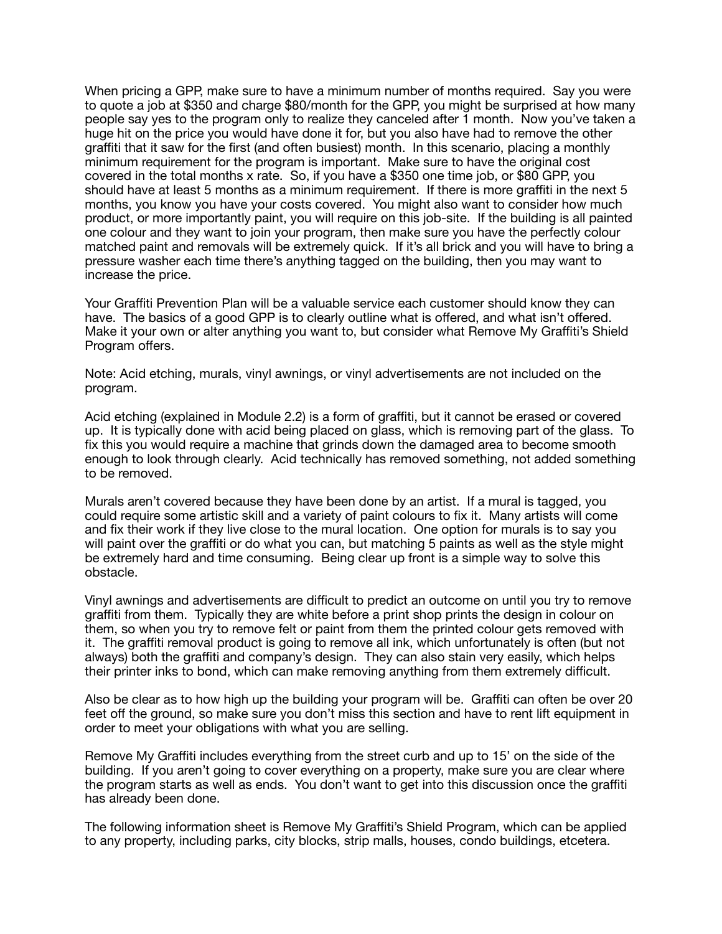When pricing a GPP, make sure to have a minimum number of months required. Say you were to quote a job at \$350 and charge \$80/month for the GPP, you might be surprised at how many people say yes to the program only to realize they canceled after 1 month. Now you've taken a huge hit on the price you would have done it for, but you also have had to remove the other graffiti that it saw for the first (and often busiest) month. In this scenario, placing a monthly minimum requirement for the program is important. Make sure to have the original cost covered in the total months x rate. So, if you have a \$350 one time job, or \$80 GPP, you should have at least 5 months as a minimum requirement. If there is more graffiti in the next 5 months, you know you have your costs covered. You might also want to consider how much product, or more importantly paint, you will require on this job-site. If the building is all painted one colour and they want to join your program, then make sure you have the perfectly colour matched paint and removals will be extremely quick. If it's all brick and you will have to bring a pressure washer each time there's anything tagged on the building, then you may want to increase the price.

Your Graffiti Prevention Plan will be a valuable service each customer should know they can have. The basics of a good GPP is to clearly outline what is offered, and what isn't offered. Make it your own or alter anything you want to, but consider what Remove My Graffiti's Shield Program offers.

Note: Acid etching, murals, vinyl awnings, or vinyl advertisements are not included on the program.

Acid etching (explained in Module 2.2) is a form of graffiti, but it cannot be erased or covered up. It is typically done with acid being placed on glass, which is removing part of the glass. To fix this you would require a machine that grinds down the damaged area to become smooth enough to look through clearly. Acid technically has removed something, not added something to be removed.

Murals aren't covered because they have been done by an artist. If a mural is tagged, you could require some artistic skill and a variety of paint colours to fix it. Many artists will come and fix their work if they live close to the mural location. One option for murals is to say you will paint over the graffiti or do what you can, but matching 5 paints as well as the style might be extremely hard and time consuming. Being clear up front is a simple way to solve this obstacle.

Vinyl awnings and advertisements are difficult to predict an outcome on until you try to remove graffiti from them. Typically they are white before a print shop prints the design in colour on them, so when you try to remove felt or paint from them the printed colour gets removed with it. The graffiti removal product is going to remove all ink, which unfortunately is often (but not always) both the graffiti and company's design. They can also stain very easily, which helps their printer inks to bond, which can make removing anything from them extremely difficult.

Also be clear as to how high up the building your program will be. Graffiti can often be over 20 feet off the ground, so make sure you don't miss this section and have to rent lift equipment in order to meet your obligations with what you are selling.

Remove My Graffiti includes everything from the street curb and up to 15' on the side of the building. If you aren't going to cover everything on a property, make sure you are clear where the program starts as well as ends. You don't want to get into this discussion once the graffiti has already been done.

The following information sheet is Remove My Graffiti's Shield Program, which can be applied to any property, including parks, city blocks, strip malls, houses, condo buildings, etcetera.